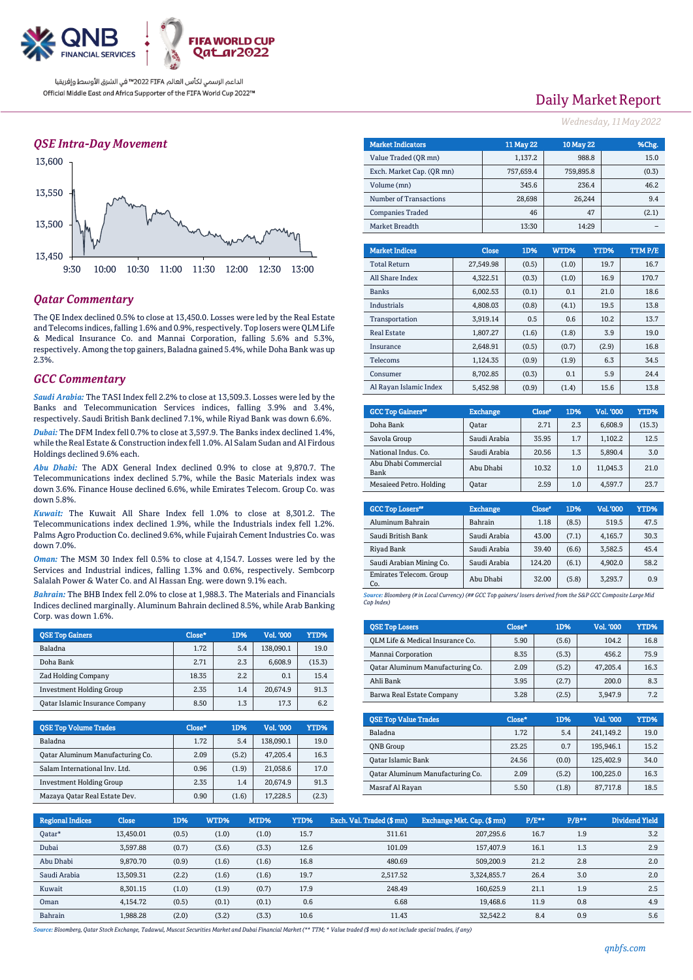

### *QSE Intra-Day Movement*



### *Qatar Commentary*

The QE Index declined 0.5% to close at 13,450.0. Losses were led by the Real Estate and Telecoms indices, falling 1.6% and 0.9%, respectively. Top losers were QLM Life & Medical Insurance Co. and Mannai Corporation, falling 5.6% and 5.3%, respectively. Among the top gainers, Baladna gained 5.4%, while Doha Bank was up 2.3%.

## *GCC Commentary*

*Saudi Arabia:* The TASI Index fell 2.2% to close at 13,509.3. Losses were led by the Banks and Telecommunication Services indices, falling 3.9% and 3.4%, respectively. Saudi British Bank declined 7.1%, while Riyad Bank was down 6.6%.

*Dubai:* The DFM Index fell 0.7% to close at 3,597.9. The Banks index declined 1.4%, while the Real Estate & Construction index fell 1.0%. Al Salam Sudan and Al Firdous Holdings declined 9.6% each.

*Abu Dhabi:* The ADX General Index declined 0.9% to close at 9,870.7. The Telecommunications index declined 5.7%, while the Basic Materials index was down 3.6%. Finance House declined 6.6%, while Emirates Telecom. Group Co. was down 5.8%.

*Kuwait:* The Kuwait All Share Index fell 1.0% to close at 8,301.2. The Telecommunications index declined 1.9%, while the Industrials index fell 1.2%. Palms Agro Production Co. declined 9.6%, while Fujairah Cement Industries Co. was down 7.0%.

*Oman:* The MSM 30 Index fell 0.5% to close at 4,154.7. Losses were led by the Services and Industrial indices, falling 1.3% and 0.6%, respectively. Sembcorp Salalah Power & Water Co. and Al Hassan Eng. were down 9.1% each.

*Bahrain:* The BHB Index fell 2.0% to close at 1,988.3. The Materials and Financials Indices declined marginally. Aluminum Bahrain declined 8.5%, while Arab Banking Corp. was down 1.6%.

| <b>OSE Top Gainers</b>                 | Close* | 1D% | Vol. '000 | <b>YTD%</b> |
|----------------------------------------|--------|-----|-----------|-------------|
| Baladna                                | 1.72   | 5.4 | 138.090.1 | 19.0        |
| Doha Bank                              | 2.71   | 2.3 | 6.608.9   | (15.3)      |
| <b>Zad Holding Company</b>             | 18.35  | 2.2 | 0.1       | 15.4        |
| <b>Investment Holding Group</b>        | 2.35   | 1.4 | 20,674.9  | 91.3        |
| <b>Qatar Islamic Insurance Company</b> | 8.50   | 1.3 | 17.3      | 6.2         |

| <b>QSE Top Volume Trades</b>     | Close* | 1D%   | <b>Vol. '000</b> | YTD%  |
|----------------------------------|--------|-------|------------------|-------|
| Baladna                          | 1.72   | 5.4   | 138,090.1        | 19.0  |
| Qatar Aluminum Manufacturing Co. | 2.09   | (5.2) | 47.205.4         | 16.3  |
| Salam International Inv. Ltd.    | 0.96   | (1.9) | 21,058.6         | 17.0  |
| <b>Investment Holding Group</b>  | 2.35   | 1.4   | 20.674.9         | 91.3  |
| Mazaya Qatar Real Estate Dev.    | 0.90   | (1.6) | 17,228.5         | (2.3) |

# Daily Market Report

*Wednesday, 11May2022*

| <b>Market Indicators</b>  | <b>11 May 22</b> | <b>10 May 22</b> | %Chg. |
|---------------------------|------------------|------------------|-------|
| Value Traded (OR mn)      | 1,137.2          | 988.8            | 15.0  |
| Exch. Market Cap. (QR mn) | 757,659.4        | 759,895.8        | (0.3) |
| Volume (mn)               | 345.6            | 236.4            | 46.2  |
| Number of Transactions    | 28,698           | 26.244           | 9.4   |
| <b>Companies Traded</b>   | 46               | 47               | (2.1) |
| Market Breadth            | 13:30            | 14:29            |       |

| <b>Market Indices</b>  | <b>Close</b> | 1D%   | WTD%  | YTD%  | TTMP/E |
|------------------------|--------------|-------|-------|-------|--------|
| <b>Total Return</b>    | 27,549.98    | (0.5) | (1.0) | 19.7  | 16.7   |
| All Share Index        | 4.322.51     | (0.3) | (1.0) | 16.9  | 170.7  |
| <b>Banks</b>           | 6,002.53     | (0.1) | 0.1   | 21.0  | 18.6   |
| <b>Industrials</b>     | 4.808.03     | (0.8) | (4.1) | 19.5  | 13.8   |
| Transportation         | 3,919.14     | 0.5   | 0.6   | 10.2  | 13.7   |
| <b>Real Estate</b>     | 1.807.27     | (1.6) | (1.8) | 3.9   | 19.0   |
| Insurance              | 2.648.91     | (0.5) | (0.7) | (2.9) | 16.8   |
| Telecoms               | 1,124.35     | (0.9) | (1.9) | 6.3   | 34.5   |
| Consumer               | 8.702.85     | (0.3) | 0.1   | 5.9   | 24.4   |
| Al Ravan Islamic Index | 5.452.98     | (0.9) | (1.4) | 15.6  | 13.8   |

| <b>GCC Top Gainers</b> "     | <b>Exchange</b> | Close* | 1D% | Vol. '000 | YTD%   |
|------------------------------|-----------------|--------|-----|-----------|--------|
| Doha Bank                    | Oatar           | 2.71   | 2.3 | 6.608.9   | (15.3) |
| Savola Group                 | Saudi Arabia    | 35.95  | 1.7 | 1.102.2   | 12.5   |
| National Indus, Co.          | Saudi Arabia    | 20.56  | 1.3 | 5.890.4   | 3.0    |
| Abu Dhabi Commercial<br>Bank | Abu Dhabi       | 10.32  | 1.0 | 11.045.3  | 21.0   |
| Mesaieed Petro. Holding      | Oatar           | 2.59   | 1.0 | 4.597.7   | 23.7   |

| <b>GCC Top Losers</b> "        | <b>Exchange</b> | Close <sup>®</sup> | 1D%   | Vol. '000 | YTD% |
|--------------------------------|-----------------|--------------------|-------|-----------|------|
| Aluminum Bahrain               | Bahrain         | 1.18               | (8.5) | 519.5     | 47.5 |
| Saudi British Bank             | Saudi Arabia    | 43.00              | (7.1) | 4,165.7   | 30.3 |
| Riyad Bank                     | Saudi Arabia    | 39.40              | (6.6) | 3,582.5   | 45.4 |
| Saudi Arabian Mining Co.       | Saudi Arabia    | 124.20             | (6.1) | 4.902.0   | 58.2 |
| Emirates Telecom. Group<br>Co. | Abu Dhabi       | 32.00              | (5.8) | 3,293.7   | 0.9  |

*Source: Bloomberg (# in Local Currency) (## GCC Top gainers/ losers derived from the S&P GCC Composite Large Mid Cap Index)*

| <b>QSE Top Losers</b>            | Close* | 1D%   | Vol. '000 | <b>YTD%</b> |
|----------------------------------|--------|-------|-----------|-------------|
| OLM Life & Medical Insurance Co. | 5.90   | (5.6) | 104.2     | 16.8        |
| Mannai Corporation               | 8.35   | (5.3) | 456.2     | 75.9        |
| Qatar Aluminum Manufacturing Co. | 2.09   | (5.2) | 47.205.4  | 16.3        |
| Ahli Bank                        | 3.95   | (2.7) | 200.0     | 8.3         |
| Barwa Real Estate Company        | 3.28   | (2.5) | 3.947.9   | 7.2         |

| <b>OSE Top Value Trades</b>      | Close* | 1D%   | Val. '000 | <b>YTD%</b> |
|----------------------------------|--------|-------|-----------|-------------|
| Baladna                          | 1.72   | 5.4   | 241.149.2 | 19.0        |
| <b>ONB</b> Group                 | 23.25  | 0.7   | 195,946.1 | 15.2        |
| Qatar Islamic Bank               | 24.56  | (0.0) | 125,402.9 | 34.0        |
| Oatar Aluminum Manufacturing Co. | 2.09   | (5.2) | 100.225.0 | 16.3        |
| Masraf Al Rayan                  | 5.50   | (1.8) | 87,717.8  | 18.5        |

| <b>Regional Indices</b> | <b>Close</b> | 1D%   | WTD%  | MTD%  | YTD% | Exch. Val. Traded (\$ mn) | Exchange Mkt. Cap. (\$mn) | $P/E***$ | $P/B***$ | <b>Dividend Yield</b> |
|-------------------------|--------------|-------|-------|-------|------|---------------------------|---------------------------|----------|----------|-----------------------|
| Oatar*                  | 13.450.01    | (0.5) | (1.0) | (1.0) | 15.7 | 311.61                    | 207.295.6                 | 16.7     | 1.9      | 3.2                   |
| Dubai                   | 3,597.88     | (0.7) | (3.6) | (3.3) | 12.6 | 101.09                    | 157.407.9                 | 16.1     | 1.3      | 2.9                   |
| Abu Dhabi               | 9.870.70     | (0.9) | (1.6) | (1.6) | 16.8 | 480.69                    | 509.200.9                 | 21.2     | 2.8      | 2.0                   |
| Saudi Arabia            | 13.509.31    | (2.2) | (1.6) | (1.6) | 19.7 | 2,517.52                  | 3.324.855.7               | 26.4     | 3.0      | 2.0                   |
| Kuwait                  | 8.301.15     | (1.0) | (1.9) | (0.7) | 17.9 | 248.49                    | 160.625.9                 | 21.1     | 1.9      | 2.5                   |
| Oman                    | 4.154.72     | (0.5) | (0.1) | (0.1) | 0.6  | 6.68                      | 19.468.6                  | 11.9     | 0.8      | 4.9                   |
| Bahrain                 | 1,988.28     | (2.0) | (3.2) | (3.3) | 10.6 | 11.43                     | 32.542.2                  | 8.4      | 0.9      | 5.6                   |

*Source: Bloomberg, Qatar Stock Exchange, Tadawul, Muscat Securities Market and Dubai Financial Market (\*\* TTM; \* Value traded (\$ mn) do not include special trades, if any)*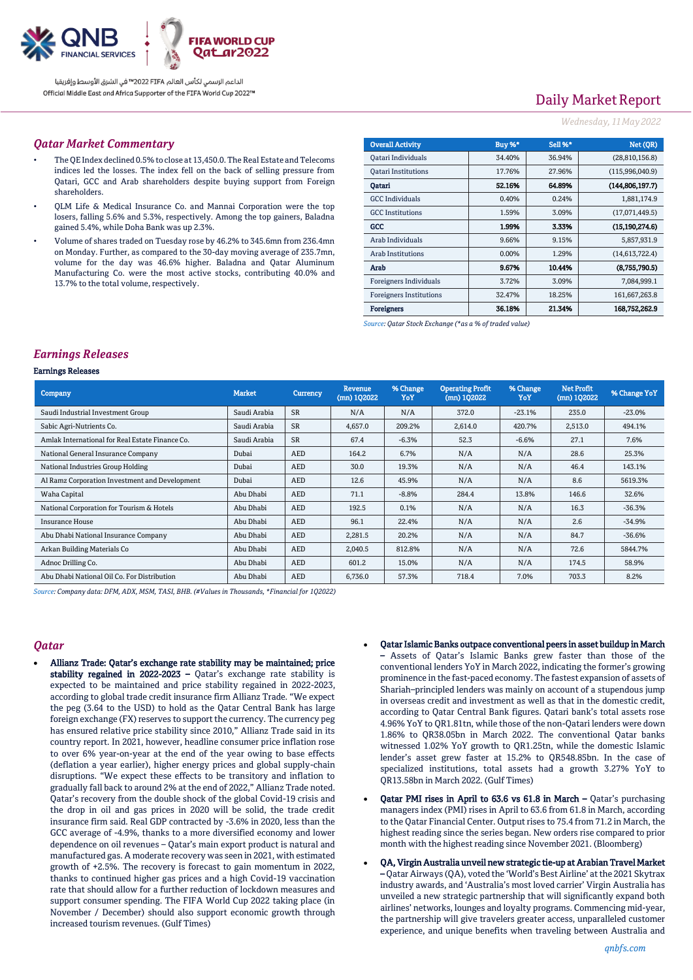

# Daily Market Report

#### *Wednesday, 11May2022*

#### *Qatar Market Commentary*

- The QE Index declined 0.5% to close at 13,450.0. The Real Estate and Telecoms indices led the losses. The index fell on the back of selling pressure from Qatari, GCC and Arab shareholders despite buying support from Foreign shareholders.
- QLM Life & Medical Insurance Co. and Mannai Corporation were the top losers, falling 5.6% and 5.3%, respectively. Among the top gainers, Baladna gained 5.4%, while Doha Bank was up 2.3%.
- Volume of shares traded on Tuesday rose by 46.2% to 345.6mn from 236.4mn on Monday. Further, as compared to the 30-day moving average of 235.7mn, volume for the day was 46.6% higher. Baladna and Qatar Aluminum Manufacturing Co. were the most active stocks, contributing 40.0% and 13.7% to the total volume, respectively.

| <b>Overall Activity</b>        | Buy %* | Sell %* | Net (QR)         |
|--------------------------------|--------|---------|------------------|
| Qatari Individuals             | 34.40% | 36.94%  | (28,810,156.8)   |
| <b>Oatari Institutions</b>     | 17.76% | 27.96%  | (115,996,040.9)  |
| Oatari                         | 52.16% | 64.89%  | (144.806.197.7)  |
| <b>GCC</b> Individuals         | 0.40%  | 0.24%   | 1,881,174.9      |
| <b>GCC</b> Institutions        | 1.59%  | 3.09%   | (17,071,449.5)   |
| GCC                            | 1.99%  | 3.33%   | (15, 190, 274.6) |
| Arab Individuals               | 9.66%  | 9.15%   | 5,857,931.9      |
| <b>Arab Institutions</b>       | 0.00%  | 1.29%   | (14,613,722.4)   |
| Arab                           | 9.67%  | 10.44%  | (8,755,790.5)    |
| <b>Foreigners Individuals</b>  | 3.72%  | 3.09%   | 7,084,999.1      |
| <b>Foreigners Institutions</b> | 32.47% | 18.25%  | 161,667,263.8    |
| <b>Foreigners</b>              | 36.18% | 21.34%  | 168,752,262.9    |

*Source: Qatar Stock Exchange (\*as a % of traded value)*

### *Earnings Releases*

#### Earnings Releases

| <b>Company</b>                                  | <b>Market</b> | Currency,  | Revenue<br>$(mn)$ 102022 | % Change<br>YoY | <b>Operating Profit</b><br>$(mn)$ 102022 | % Change<br>YoY | Net Profit<br>(mn) 102022 | % Change YoY |
|-------------------------------------------------|---------------|------------|--------------------------|-----------------|------------------------------------------|-----------------|---------------------------|--------------|
| Saudi Industrial Investment Group               | Saudi Arabia  | <b>SR</b>  | N/A                      | N/A             | 372.0                                    | $-23.1%$        | 235.0                     | $-23.0%$     |
| Sabic Agri-Nutrients Co.                        | Saudi Arabia  | <b>SR</b>  | 4,657.0                  | 209.2%          | 2,614.0                                  | 420.7%          | 2,513.0                   | 494.1%       |
| Amlak International for Real Estate Finance Co. | Saudi Arabia  | <b>SR</b>  | 67.4                     | $-6.3%$         | 52.3                                     | $-6.6%$         | 27.1                      | 7.6%         |
| National General Insurance Company              | Dubai         | <b>AED</b> | 164.2                    | 6.7%            | N/A                                      | N/A             | 28.6                      | 25.3%        |
| National Industries Group Holding               | Dubai         | <b>AED</b> | 30.0                     | 19.3%           | N/A                                      | N/A             | 46.4                      | 143.1%       |
| Al Ramz Corporation Investment and Development  | Dubai         | <b>AED</b> | 12.6                     | 45.9%           | N/A                                      | N/A             | 8.6                       | 5619.3%      |
| Waha Capital                                    | Abu Dhabi     | <b>AED</b> | 71.1                     | $-8.8%$         | 284.4                                    | 13.8%           | 146.6                     | 32.6%        |
| National Corporation for Tourism & Hotels       | Abu Dhabi     | <b>AED</b> | 192.5                    | 0.1%            | N/A                                      | N/A             | 16.3                      | $-36.3%$     |
| <b>Insurance House</b>                          | Abu Dhabi     | AED        | 96.1                     | 22.4%           | N/A                                      | N/A             | 2.6                       | $-34.9%$     |
| Abu Dhabi National Insurance Company            | Abu Dhabi     | <b>AED</b> | 2.281.5                  | 20.2%           | N/A                                      | N/A             | 84.7                      | $-36.6%$     |
| Arkan Building Materials Co                     | Abu Dhabi     | <b>AED</b> | 2,040.5                  | 812.8%          | N/A                                      | N/A             | 72.6                      | 5844.7%      |
| Adnoc Drilling Co.                              | Abu Dhabi     | <b>AED</b> | 601.2                    | 15.0%           | N/A                                      | N/A             | 174.5                     | 58.9%        |
| Abu Dhabi National Oil Co. For Distribution     | Abu Dhabi     | <b>AED</b> | 6,736.0                  | 57.3%           | 718.4                                    | 7.0%            | 703.3                     | 8.2%         |

*Source: Company data: DFM, ADX, MSM, TASI, BHB. (#Values in Thousands, \*Financial for 1Q2022)*

#### *Qatar*

- Allianz Trade: Qatar's exchange rate stability may be maintained; price stability regained in 2022-2023 - Qatar's exchange rate stability is expected to be maintained and price stability regained in 2022-2023, according to global trade credit insurance firm Allianz Trade. "We expect the peg (3.64 to the USD) to hold as the Qatar Central Bank has large foreign exchange (FX) reserves to support the currency. The currency peg has ensured relative price stability since 2010," Allianz Trade said in its country report. In 2021, however, headline consumer price inflation rose to over 6% year-on-year at the end of the year owing to base effects (deflation a year earlier), higher energy prices and global supply-chain disruptions. "We expect these effects to be transitory and inflation to gradually fall back to around 2% at the end of 2022," Allianz Trade noted. Qatar's recovery from the double shock of the global Covid-19 crisis and the drop in oil and gas prices in 2020 will be solid, the trade credit insurance firm said. Real GDP contracted by -3.6% in 2020, less than the GCC average of -4.9%, thanks to a more diversified economy and lower dependence on oil revenues – Qatar's main export product is natural and manufactured gas. A moderate recovery was seen in 2021, with estimated growth of +2.5%. The recovery is forecast to gain momentum in 2022, thanks to continued higher gas prices and a high Covid-19 vaccination rate that should allow for a further reduction of lockdown measures and support consumer spending. The FIFA World Cup 2022 taking place (in November / December) should also support economic growth through increased tourism revenues. (Gulf Times)
- Qatar Islamic Banks outpace conventional peers in asset buildup in March – Assets of Qatar's Islamic Banks grew faster than those of the conventional lenders YoY in March 2022, indicating the former's growing prominence in the fast-paced economy. The fastest expansion of assets of Shariah–principled lenders was mainly on account of a stupendous jump in overseas credit and investment as well as that in the domestic credit, according to Qatar Central Bank figures. Qatari bank's total assets rose 4.96% YoY to QR1.81tn, while those of the non-Qatari lenders were down 1.86% to QR38.05bn in March 2022. The conventional Qatar banks witnessed 1.02% YoY growth to QR1.25tn, while the domestic Islamic lender's asset grew faster at 15.2% to QR548.85bn. In the case of specialized institutions, total assets had a growth 3.27% YoY to QR13.58bn in March 2022. (Gulf Times)
- Qatar PMI rises in April to 63.6 vs 61.8 in March Qatar's purchasing managers index (PMI) rises in April to 63.6 from 61.8 in March, according to the Qatar Financial Center. Output rises to 75.4 from 71.2 in March, the highest reading since the series began. New orders rise compared to prior month with the highest reading since November 2021. (Bloomberg)
- QA, Virgin Australia unveil new strategic tie-up at Arabian Travel Market – Qatar Airways (QA), voted the 'World's Best Airline' at the 2021 Skytrax industry awards, and 'Australia's most loved carrier' Virgin Australia has unveiled a new strategic partnership that will significantly expand both airlines' networks, lounges and loyalty programs. Commencing mid-year, the partnership will give travelers greater access, unparalleled customer experience, and unique benefits when traveling between Australia and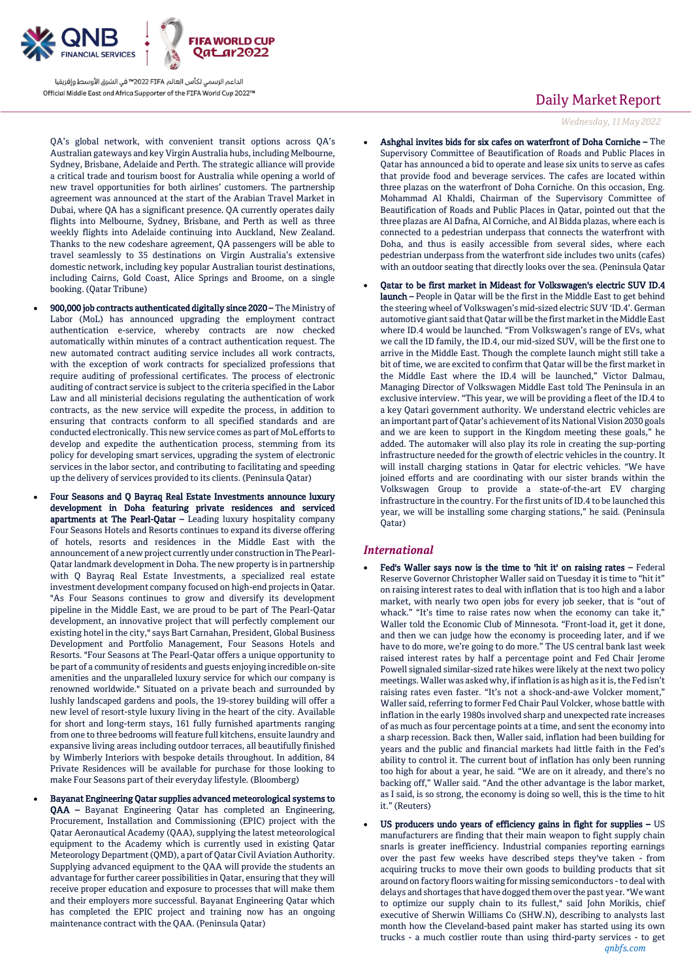

QA's global network, with convenient transit options across QA's Australian gateways and key Virgin Australia hubs, including Melbourne, Sydney, Brisbane, Adelaide and Perth. The strategic alliance will provide a critical trade and tourism boost for Australia while opening a world of new travel opportunities for both airlines' customers. The partnership agreement was announced at the start of the Arabian Travel Market in Dubai, where QA has a significant presence. QA currently operates daily flights into Melbourne, Sydney, Brisbane, and Perth as well as three weekly flights into Adelaide continuing into Auckland, New Zealand. Thanks to the new codeshare agreement, QA passengers will be able to travel seamlessly to 35 destinations on Virgin Australia's extensive domestic network, including key popular Australian tourist destinations, including Cairns, Gold Coast, Alice Springs and Broome, on a single booking. (Qatar Tribune)

- 900,000 job contracts authenticated digitally since 2020 The Ministry of Labor (MoL) has announced upgrading the employment contract authentication e-service, whereby contracts are now checked automatically within minutes of a contract authentication request. The new automated contract auditing service includes all work contracts, with the exception of work contracts for specialized professions that require auditing of professional certificates. The process of electronic auditing of contract service is subject to the criteria specified in the Labor Law and all ministerial decisions regulating the authentication of work contracts, as the new service will expedite the process, in addition to ensuring that contracts conform to all specified standards and are conducted electronically. This new service comes as part of MoL efforts to develop and expedite the authentication process, stemming from its policy for developing smart services, upgrading the system of electronic services in the labor sector, and contributing to facilitating and speeding up the delivery of services provided to its clients. (Peninsula Qatar)
- Four Seasons and Q Bayraq Real Estate Investments announce luxury development in Doha featuring private residences and serviced apartments at The Pearl-Qatar – Leading luxury hospitality company Four Seasons Hotels and Resorts continues to expand its diverse offering of hotels, resorts and residences in the Middle East with the announcement of a new project currently under construction in The Pearl-Qatar landmark development in Doha. The new property is in partnership with Q Bayraq Real Estate Investments, a specialized real estate investment development company focused on high-end projects in Qatar. "As Four Seasons continues to grow and diversify its development pipeline in the Middle East, we are proud to be part of The Pearl-Qatar development, an innovative project that will perfectly complement our existing hotel in the city," says Bart Carnahan, President, Global Business Development and Portfolio Management, Four Seasons Hotels and Resorts. "Four Seasons at The Pearl-Qatar offers a unique opportunity to be part of a community of residents and guests enjoying incredible on-site amenities and the unparalleled luxury service for which our company is renowned worldwide." Situated on a private beach and surrounded by lushly landscaped gardens and pools, the 19-storey building will offer a new level of resort-style luxury living in the heart of the city. Available for short and long-term stays, 161 fully furnished apartments ranging from one to three bedrooms will feature full kitchens, ensuite laundry and expansive living areas including outdoor terraces, all beautifully finished by Wimberly Interiors with bespoke details throughout. In addition, 84 Private Residences will be available for purchase for those looking to make Four Seasons part of their everyday lifestyle. (Bloomberg)

#### Bayanat Engineering Qatar supplies advanced meteorological systems to

QAA – Bayanat Engineering Qatar has completed an Engineering, Procurement, Installation and Commissioning (EPIC) project with the Qatar Aeronautical Academy (QAA), supplying the latest meteorological equipment to the Academy which is currently used in existing Qatar Meteorology Department (QMD), a part of Qatar Civil Aviation Authority. Supplying advanced equipment to the QAA will provide the students an advantage for further career possibilities in Qatar, ensuring that they will receive proper education and exposure to processes that will make them and their employers more successful. Bayanat Engineering Qatar which has completed the EPIC project and training now has an ongoing maintenance contract with the QAA. (Peninsula Qatar)

## Daily Market Report

*Wednesday, 11May2022*

- Ashghal invites bids for six cafes on waterfront of Doha Corniche The Supervisory Committee of Beautification of Roads and Public Places in Qatar has announced a bid to operate and lease six units to serve as cafes that provide food and beverage services. The cafes are located within three plazas on the waterfront of Doha Corniche. On this occasion, Eng. Mohammad Al Khaldi, Chairman of the Supervisory Committee of Beautification of Roads and Public Places in Qatar, pointed out that the three plazas are Al Dafna, Al Corniche, and Al Bidda plazas, where each is connected to a pedestrian underpass that connects the waterfront with Doha, and thus is easily accessible from several sides, where each pedestrian underpass from the waterfront side includes two units (cafes) with an outdoor seating that directly looks over the sea. (Peninsula Qatar
- Qatar to be first market in Mideast for Volkswagen's electric SUV ID.4 launch – People in Qatar will be the first in the Middle East to get behind the steering wheel of Volkswagen's mid-sized electric SUV 'ID.4'. German automotive giant said that Qatar will be the first market in the Middle East where ID.4 would be launched. "From Volkswagen's range of EVs, what we call the ID family, the ID.4, our mid-sized SUV, will be the first one to arrive in the Middle East. Though the complete launch might still take a bit of time, we are excited to confirm that Qatar will be the first market in the Middle East where the ID.4 will be launched," Victor Dalmau, Managing Director of Volkswagen Middle East told The Peninsula in an exclusive interview. "This year, we will be providing a fleet of the ID.4 to a key Qatari government authority. We understand electric vehicles are an important part of Qatar's achievement of its National Vision 2030 goals and we are keen to support in the Kingdom meeting these goals," he added. The automaker will also play its role in creating the sup-porting infrastructure needed for the growth of electric vehicles in the country. It will install charging stations in Qatar for electric vehicles. "We have joined efforts and are coordinating with our sister brands within the Volkswagen Group to provide a state-of-the-art EV charging infrastructure in the country. For the first units of ID.4 to be launched this year, we will be installing some charging stations," he said. (Peninsula Qatar)

#### *International*

- Fed's Waller says now is the time to 'hit it' on raising rates Federal Reserve Governor Christopher Waller said on Tuesday it is time to "hit it" on raising interest rates to deal with inflation that is too high and a labor market, with nearly two open jobs for every job seeker, that is "out of whack." "It's time to raise rates now when the economy can take it," Waller told the Economic Club of Minnesota. "Front-load it, get it done, and then we can judge how the economy is proceeding later, and if we have to do more, we're going to do more." The US central bank last week raised interest rates by half a percentage point and Fed Chair Jerome Powell signaled similar-sized rate hikes were likely at the next two policy meetings. Waller was asked why, if inflation is as high as it is, the Fed isn't raising rates even faster. "It's not a shock-and-awe Volcker moment," Waller said, referring to former Fed Chair Paul Volcker, whose battle with inflation in the early 1980s involved sharp and unexpected rate increases of as much as four percentage points at a time, and sent the economy into a sharp recession. Back then, Waller said, inflation had been building for years and the public and financial markets had little faith in the Fed's ability to control it. The current bout of inflation has only been running too high for about a year, he said. "We are on it already, and there's no backing off," Waller said. "And the other advantage is the labor market, as I said, is so strong, the economy is doing so well, this is the time to hit it." (Reuters)
- US producers undo years of efficiency gains in fight for supplies US manufacturers are finding that their main weapon to fight supply chain snarls is greater inefficiency. Industrial companies reporting earnings over the past few weeks have described steps they've taken - from acquiring trucks to move their own goods to building products that sit around on factory floors waiting for missing semiconductors -to deal with delays and shortages that have dogged them over the past year. "We want to optimize our supply chain to its fullest," said John Morikis, chief executive of Sherwin Williams Co (SHW.N), describing to analysts last month how the Cleveland-based paint maker has started using its own trucks - a much costlier route than using third-party services - to get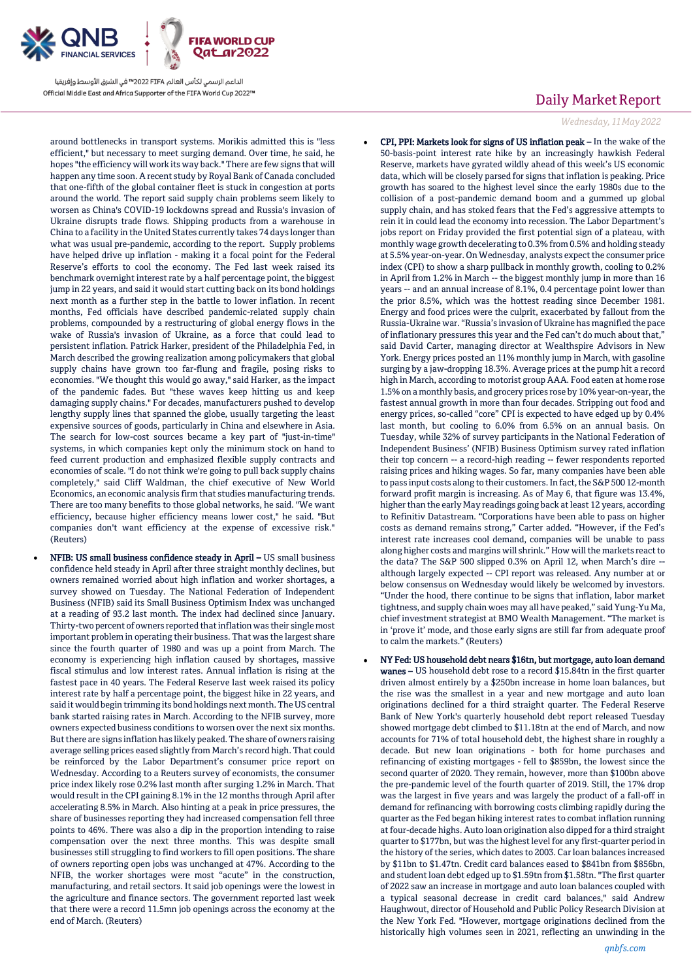

around bottlenecks in transport systems. Morikis admitted this is "less efficient," but necessary to meet surging demand. Over time, he said, he hopes "the efficiency will work its way back." There are few signs that will happen any time soon. A recent study by Royal Bank of Canada concluded that one-fifth of the global container fleet is stuck in congestion at ports around the world. The report said supply chain problems seem likely to worsen as China's COVID-19 lockdowns spread and Russia's invasion of Ukraine disrupts trade flows. Shipping products from a warehouse in China to a facility in the United States currently takes 74 days longer than what was usual pre-pandemic, according to the report. Supply problems have helped drive up inflation - making it a focal point for the Federal Reserve's efforts to cool the economy. The Fed last week raised its benchmark overnight interest rate by a half percentage point, the biggest jump in 22 years, and said it would start cutting back on its bond holdings next month as a further step in the battle to lower inflation. In recent months, Fed officials have described pandemic-related supply chain problems, compounded by a restructuring of global energy flows in the wake of Russia's invasion of Ukraine, as a force that could lead to persistent inflation. Patrick Harker, president of the Philadelphia Fed, in March described the growing realization among policymakers that global supply chains have grown too far-flung and fragile, posing risks to economies. "We thought this would go away," said Harker, as the impact of the pandemic fades. But "these waves keep hitting us and keep damaging supply chains." For decades, manufacturers pushed to develop lengthy supply lines that spanned the globe, usually targeting the least expensive sources of goods, particularly in China and elsewhere in Asia. The search for low-cost sources became a key part of "just-in-time" systems, in which companies kept only the minimum stock on hand to feed current production and emphasized flexible supply contracts and economies of scale. "I do not think we're going to pull back supply chains completely," said Cliff Waldman, the chief executive of New World Economics, an economic analysis firm that studies manufacturing trends. There are too many benefits to those global networks, he said. "We want efficiency, because higher efficiency means lower cost," he said. "But companies don't want efficiency at the expense of excessive risk." (Reuters)

 NFIB: US small business confidence steady in April – US small business confidence held steady in April after three straight monthly declines, but owners remained worried about high inflation and worker shortages, a survey showed on Tuesday. The National Federation of Independent Business (NFIB) said its Small Business Optimism Index was unchanged at a reading of 93.2 last month. The index had declined since January. Thirty-two percent of owners reported that inflation was their single most important problem in operating their business. That was the largest share since the fourth quarter of 1980 and was up a point from March. The economy is experiencing high inflation caused by shortages, massive fiscal stimulus and low interest rates. Annual inflation is rising at the fastest pace in 40 years. The Federal Reserve last week raised its policy interest rate by half a percentage point, the biggest hike in 22 years, and said it would begin trimming its bond holdings next month. The US central bank started raising rates in March. According to the NFIB survey, more owners expected business conditions to worsen over the next six months. But there are signs inflation has likely peaked. The share of owners raising average selling prices eased slightly from March's record high. That could be reinforced by the Labor Department's consumer price report on Wednesday. According to a Reuters survey of economists, the consumer price index likely rose 0.2% last month after surging 1.2% in March. That would result in the CPI gaining 8.1% in the 12 months through April after accelerating 8.5% in March. Also hinting at a peak in price pressures, the share of businesses reporting they had increased compensation fell three points to 46%. There was also a dip in the proportion intending to raise compensation over the next three months. This was despite small businesses still struggling to find workers to fill open positions. The share of owners reporting open jobs was unchanged at 47%. According to the NFIB, the worker shortages were most "acute" in the construction, manufacturing, and retail sectors. It said job openings were the lowest in the agriculture and finance sectors. The government reported last week that there were a record 11.5mn job openings across the economy at the end of March. (Reuters)

# Daily Market Report

*Wednesday, 11May2022*

- CPI, PPI: Markets look for signs of US inflation peak In the wake of the 50-basis-point interest rate hike by an increasingly hawkish Federal Reserve, markets have gyrated wildly ahead of this week's US economic data, which will be closely parsed for signs that inflation is peaking. Price growth has soared to the highest level since the early 1980s due to the collision of a post-pandemic demand boom and a gummed up global supply chain, and has stoked fears that the Fed's aggressive attempts to rein it in could lead the economy into recession. The Labor Department's jobs report on Friday provided the first potential sign of a plateau, with monthly wage growth decelerating to 0.3% from 0.5% and holding steady at 5.5% year-on-year. On Wednesday, analysts expect the consumer price index (CPI) to show a sharp pullback in monthly growth, cooling to 0.2% in April from 1.2% in March -- the biggest monthly jump in more than 16 years -- and an annual increase of 8.1%, 0.4 percentage point lower than the prior 8.5%, which was the hottest reading since December 1981. Energy and food prices were the culprit, exacerbated by fallout from the Russia-Ukraine war. "Russia's invasion of Ukraine has magnified the pace of inflationary pressures this year and the Fed can't do much about that," said David Carter, managing director at Wealthspire Advisors in New York. Energy prices posted an 11% monthly jump in March, with gasoline surging by a jaw-dropping 18.3%. Average prices at the pump hit a record high in March, according to motorist group AAA. Food eaten at home rose 1.5% on a monthly basis, and grocery prices rose by 10% year-on-year, the fastest annual growth in more than four decades. Stripping out food and energy prices, so-called "core" CPI is expected to have edged up by 0.4% last month, but cooling to 6.0% from 6.5% on an annual basis. On Tuesday, while 32% of survey participants in the National Federation of Independent Business' (NFIB) Business Optimism survey rated inflation their top concern -- a record-high reading -- fewer respondents reported raising prices and hiking wages. So far, many companies have been able to pass input costs along to their customers. In fact, the S&P 500 12-month forward profit margin is increasing. As of May 6, that figure was 13.4%, higher than the early May readings going back at least 12 years, according to Refinitiv Datastream. "Corporations have been able to pass on higher costs as demand remains strong," Carter added. "However, if the Fed's interest rate increases cool demand, companies will be unable to pass along higher costs and margins will shrink." How will the markets react to the data? The S&P 500 slipped 0.3% on April 12, when March's dire although largely expected -- CPI report was released. Any number at or below consensus on Wednesday would likely be welcomed by investors. "Under the hood, there continue to be signs that inflation, labor market tightness, and supply chain woes may all have peaked," said Yung-Yu Ma, chief investment strategist at BMO Wealth Management. "The market is in 'prove it' mode, and those early signs are still far from adequate proof to calm the markets." (Reuters)
- NY Fed: US household debt nears \$16tn, but mortgage, auto loan demand wanes – US household debt rose to a record \$15.84tn in the first quarter driven almost entirely by a \$250bn increase in home loan balances, but the rise was the smallest in a year and new mortgage and auto loan originations declined for a third straight quarter. The Federal Reserve Bank of New York's quarterly household debt report released Tuesday showed mortgage debt climbed to \$11.18tn at the end of March, and now accounts for 71% of total household debt, the highest share in roughly a decade. But new loan originations - both for home purchases and refinancing of existing mortgages - fell to \$859bn, the lowest since the second quarter of 2020. They remain, however, more than \$100bn above the pre-pandemic level of the fourth quarter of 2019. Still, the 17% drop was the largest in five years and was largely the product of a fall-off in demand for refinancing with borrowing costs climbing rapidly during the quarter as the Fed began hiking interest rates to combat inflation running at four-decade highs. Auto loan origination also dipped for a third straight quarter to \$177bn, but was the highest level for any first-quarter period in the history of the series, which dates to 2003. Car loan balances increased by \$11bn to \$1.47tn. Credit card balances eased to \$841bn from \$856bn, and student loan debt edged up to \$1.59tn from \$1.58tn. "The first quarter of 2022 saw an increase in mortgage and auto loan balances coupled with a typical seasonal decrease in credit card balances," said Andrew Haughwout, director of Household and Public Policy Research Division at the New York Fed. "However, mortgage originations declined from the historically high volumes seen in 2021, reflecting an unwinding in the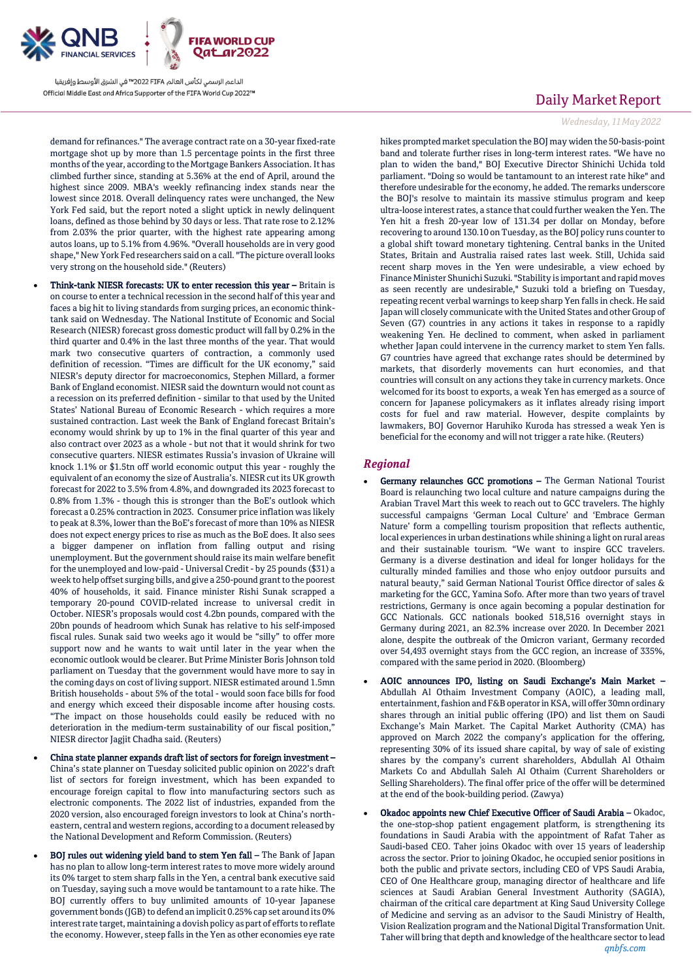

demand for refinances." The average contract rate on a 30-year fixed-rate mortgage shot up by more than 1.5 percentage points in the first three months of the year, according to the Mortgage Bankers Association. It has climbed further since, standing at 5.36% at the end of April, around the highest since 2009. MBA's weekly refinancing index stands near the lowest since 2018. Overall delinquency rates were unchanged, the New York Fed said, but the report noted a slight uptick in newly delinquent loans, defined as those behind by 30 days or less. That rate rose to 2.12% from 2.03% the prior quarter, with the highest rate appearing among autos loans, up to 5.1% from 4.96%. "Overall households are in very good shape," New York Fed researchers said on a call. "The picture overall looks very strong on the household side." (Reuters)

- Think-tank NIESR forecasts: UK to enter recession this year Britain is on course to enter a technical recession in the second half of this year and faces a big hit to living standards from surging prices, an economic thinktank said on Wednesday. The National Institute of Economic and Social Research (NIESR) forecast gross domestic product will fall by 0.2% in the third quarter and 0.4% in the last three months of the year. That would mark two consecutive quarters of contraction, a commonly used definition of recession. "Times are difficult for the UK economy," said NIESR's deputy director for macroeconomics, Stephen Millard, a former Bank of England economist. NIESR said the downturn would not count as a recession on its preferred definition - similar to that used by the United States' National Bureau of Economic Research - which requires a more sustained contraction. Last week the Bank of England forecast Britain's economy would shrink by up to 1% in the final quarter of this year and also contract over 2023 as a whole - but not that it would shrink for two consecutive quarters. NIESR estimates Russia's invasion of Ukraine will knock 1.1% or \$1.5tn off world economic output this year - roughly the equivalent of an economy the size of Australia's. NIESR cut its UK growth forecast for 2022 to 3.5% from 4.8%, and downgraded its 2023 forecast to 0.8% from 1.3% - though this is stronger than the BoE's outlook which forecast a 0.25% contraction in 2023. Consumer price inflation was likely to peak at 8.3%, lower than the BoE's forecast of more than 10% as NIESR does not expect energy prices to rise as much as the BoE does. It also sees a bigger dampener on inflation from falling output and rising unemployment. But the government should raise its main welfare benefit for the unemployed and low-paid - Universal Credit - by 25 pounds (\$31) a week to help offset surging bills, and give a 250-pound grant to the poorest 40% of households, it said. Finance minister Rishi Sunak scrapped a temporary 20-pound COVID-related increase to universal credit in October. NIESR's proposals would cost 4.2bn pounds, compared with the 20bn pounds of headroom which Sunak has relative to his self-imposed fiscal rules. Sunak said two weeks ago it would be "silly" to offer more support now and he wants to wait until later in the year when the economic outlook would be clearer. But Prime Minister Boris Johnson told parliament on Tuesday that the government would have more to say in the coming days on cost of living support. NIESR estimated around 1.5mn British households - about 5% of the total - would soon face bills for food and energy which exceed their disposable income after housing costs. "The impact on those households could easily be reduced with no deterioration in the medium-term sustainability of our fiscal position," NIESR director Jagjit Chadha said. (Reuters)
- China state planner expands draft list of sectors for foreign investment China's state planner on Tuesday solicited public opinion on 2022's draft list of sectors for foreign investment, which has been expanded to encourage foreign capital to flow into manufacturing sectors such as electronic components. The 2022 list of industries, expanded from the 2020 version, also encouraged foreign investors to look at China's northeastern, central and western regions, according to a document released by the National Development and Reform Commission. (Reuters)
- BOJ rules out widening yield band to stem Yen fall The Bank of Japan has no plan to allow long-term interest rates to move more widely around its 0% target to stem sharp falls in the Yen, a central bank executive said on Tuesday, saying such a move would be tantamount to a rate hike. The BOJ currently offers to buy unlimited amounts of 10-year Japanese government bonds (JGB) to defend an implicit 0.25% cap set around its 0% interest rate target, maintaining a dovish policy as part of efforts to reflate the economy. However, steep falls in the Yen as other economies eye rate

## Daily Market Report

#### *Wednesday, 11May2022*

hikes prompted market speculation the BOJ may widen the 50-basis-point band and tolerate further rises in long-term interest rates. "We have no plan to widen the band," BOJ Executive Director Shinichi Uchida told parliament. "Doing so would be tantamount to an interest rate hike" and therefore undesirable for the economy, he added. The remarks underscore the BOJ's resolve to maintain its massive stimulus program and keep ultra-loose interest rates, a stance that could further weaken the Yen. The Yen hit a fresh 20-year low of 131.34 per dollar on Monday, before recovering to around 130.10 on Tuesday, as the BOJ policy runs counter to a global shift toward monetary tightening. Central banks in the United States, Britain and Australia raised rates last week. Still, Uchida said recent sharp moves in the Yen were undesirable, a view echoed by Finance Minister Shunichi Suzuki. "Stability is important and rapid moves as seen recently are undesirable," Suzuki told a briefing on Tuesday, repeating recent verbal warnings to keep sharp Yen falls in check. He said Japan will closely communicate with the United States and other Group of Seven (G7) countries in any actions it takes in response to a rapidly weakening Yen. He declined to comment, when asked in parliament whether Japan could intervene in the currency market to stem Yen falls. G7 countries have agreed that exchange rates should be determined by markets, that disorderly movements can hurt economies, and that countries will consult on any actions they take in currency markets. Once welcomed for its boost to exports, a weak Yen has emerged as a source of concern for Japanese policymakers as it inflates already rising import costs for fuel and raw material. However, despite complaints by lawmakers, BOJ Governor Haruhiko Kuroda has stressed a weak Yen is beneficial for the economy and will not trigger a rate hike. (Reuters)

#### *Regional*

- Germany relaunches GCC promotions The German National Tourist Board is relaunching two local culture and nature campaigns during the Arabian Travel Mart this week to reach out to GCC travelers. The highly successful campaigns 'German Local Culture' and 'Embrace German Nature' form a compelling tourism proposition that reflects authentic, local experiences in urban destinations while shining a light on rural areas and their sustainable tourism. "We want to inspire GCC travelers. Germany is a diverse destination and ideal for longer holidays for the culturally minded families and those who enjoy outdoor pursuits and natural beauty," said German National Tourist Office director of sales & marketing for the GCC, Yamina Sofo. After more than two years of travel restrictions, Germany is once again becoming a popular destination for GCC Nationals. GCC nationals booked 518,516 overnight stays in Germany during 2021, an 82.3% increase over 2020. In December 2021 alone, despite the outbreak of the Omicron variant, Germany recorded over 54,493 overnight stays from the GCC region, an increase of 335%, compared with the same period in 2020. (Bloomberg)
- AOIC announces IPO, listing on Saudi Exchange's Main Market Abdullah Al Othaim Investment Company (AOIC), a leading mall, entertainment, fashion and F&B operator in KSA, will offer 30mn ordinary shares through an initial public offering (IPO) and list them on Saudi Exchange's Main Market. The Capital Market Authority (CMA) has approved on March 2022 the company's application for the offering, representing 30% of its issued share capital, by way of sale of existing shares by the company's current shareholders, Abdullah Al Othaim Markets Co and Abdullah Saleh Al Othaim (Current Shareholders or Selling Shareholders). The final offer price of the offer will be determined at the end of the book-building period. (Zawya)
- Okadoc appoints new Chief Executive Officer of Saudi Arabia Okadoc, the one-stop-shop patient engagement platform, is strengthening its foundations in Saudi Arabia with the appointment of Rafat Taher as Saudi-based CEO. Taher joins Okadoc with over 15 years of leadership across the sector. Prior to joining Okadoc, he occupied senior positions in both the public and private sectors, including CEO of VPS Saudi Arabia, CEO of One Healthcare group, managing director of healthcare and life sciences at Saudi Arabian General Investment Authority (SAGIA), chairman of the critical care department at King Saud University College of Medicine and serving as an advisor to the Saudi Ministry of Health, Vision Realization program and the National Digital Transformation Unit. Taher will bring that depth and knowledge of the healthcare sector to lead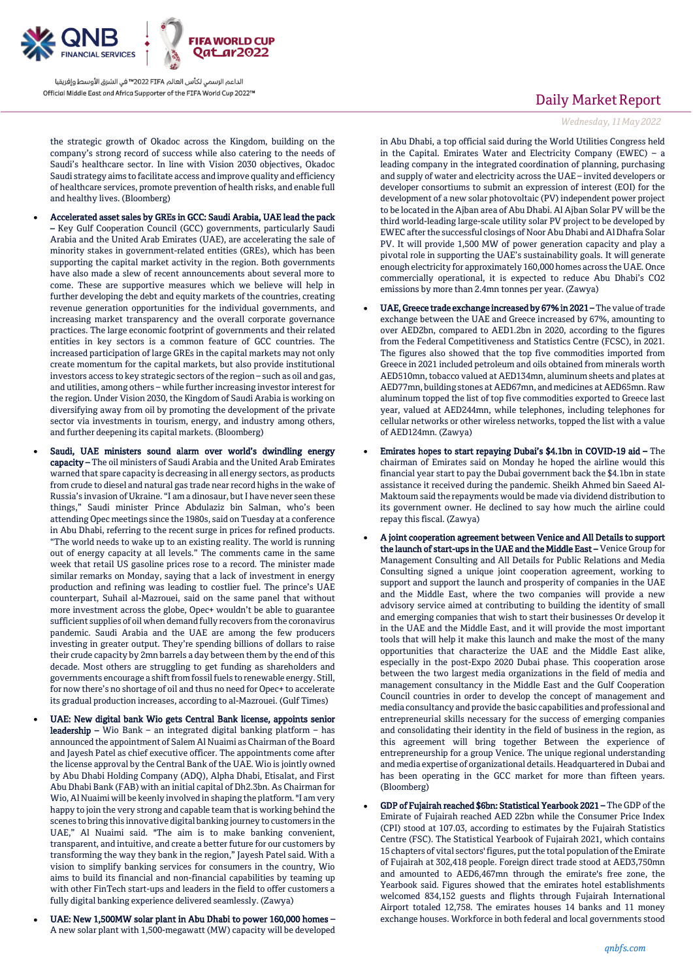

the strategic growth of Okadoc across the Kingdom, building on the company's strong record of success while also catering to the needs of Saudi's healthcare sector. In line with Vision 2030 objectives, Okadoc Saudi strategy aims to facilitate access and improve quality and efficiency of healthcare services, promote prevention of health risks, and enable full and healthy lives. (Bloomberg)

- Accelerated asset sales by GREs in GCC: Saudi Arabia, UAE lead the pack – Key Gulf Cooperation Council (GCC) governments, particularly Saudi Arabia and the United Arab Emirates (UAE), are accelerating the sale of minority stakes in government-related entities (GREs), which has been supporting the capital market activity in the region. Both governments have also made a slew of recent announcements about several more to come. These are supportive measures which we believe will help in further developing the debt and equity markets of the countries, creating revenue generation opportunities for the individual governments, and increasing market transparency and the overall corporate governance practices. The large economic footprint of governments and their related entities in key sectors is a common feature of GCC countries. The increased participation of large GREs in the capital markets may not only create momentum for the capital markets, but also provide institutional investors access to key strategic sectors of the region – such as oil and gas, and utilities, among others – while further increasing investor interest for the region. Under Vision 2030, the Kingdom of Saudi Arabia is working on diversifying away from oil by promoting the development of the private sector via investments in tourism, energy, and industry among others, and further deepening its capital markets. (Bloomberg)
	- Saudi, UAE ministers sound alarm over world's dwindling energy capacity – The oil ministers of Saudi Arabia and the United Arab Emirates warned that spare capacity is decreasing in all energy sectors, as products from crude to diesel and natural gas trade near record highs in the wake of Russia's invasion of Ukraine. "I am a dinosaur, but I have never seen these things," Saudi minister Prince Abdulaziz bin Salman, who's been attending Opec meetings since the 1980s, said on Tuesday at a conference in Abu Dhabi, referring to the recent surge in prices for refined products. "The world needs to wake up to an existing reality. The world is running out of energy capacity at all levels." The comments came in the same week that retail US gasoline prices rose to a record. The minister made similar remarks on Monday, saying that a lack of investment in energy production and refining was leading to costlier fuel. The prince's UAE counterpart, Suhail al-Mazrouei, said on the same panel that without more investment across the globe, Opec+ wouldn't be able to guarantee sufficient supplies of oil when demand fully recovers from the coronavirus pandemic. Saudi Arabia and the UAE are among the few producers investing in greater output. They're spending billions of dollars to raise their crude capacity by 2mn barrels a day between them by the end of this decade. Most others are struggling to get funding as shareholders and governments encourage a shift from fossil fuels to renewable energy. Still, for now there's no shortage of oil and thus no need for Opec+ to accelerate its gradual production increases, according to al-Mazrouei. (Gulf Times)
	- UAE: New digital bank Wio gets Central Bank license, appoints senior leadership – Wio Bank – an integrated digital banking platform – has announced the appointment of Salem Al Nuaimi as Chairman of the Board and Jayesh Patel as chief executive officer. The appointments come after the license approval by the Central Bank of the UAE. Wio is jointly owned by Abu Dhabi Holding Company (ADQ), Alpha Dhabi, Etisalat, and First Abu Dhabi Bank (FAB) with an initial capital of Dh2.3bn. As Chairman for Wio, Al Nuaimi will be keenly involved in shaping the platform. "I am very happy to join the very strong and capable team that is working behind the scenes to bring this innovative digital banking journey to customers in the UAE," Al Nuaimi said. "The aim is to make banking convenient, transparent, and intuitive, and create a better future for our customers by transforming the way they bank in the region," Jayesh Patel said. With a vision to simplify banking services for consumers in the country, Wio aims to build its financial and non-financial capabilities by teaming up with other FinTech start-ups and leaders in the field to offer customers a fully digital banking experience delivered seamlessly. (Zawya)
- UAE: New 1,500MW solar plant in Abu Dhabi to power 160,000 homes A new solar plant with 1,500-megawatt (MW) capacity will be developed

# Daily Market Report

*Wednesday, 11May2022*

in Abu Dhabi, a top official said during the World Utilities Congress held in the Capital. Emirates Water and Electricity Company (EWEC) – a leading company in the integrated coordination of planning, purchasing and supply of water and electricity across the UAE – invited developers or developer consortiums to submit an expression of interest (EOI) for the development of a new solar photovoltaic (PV) independent power project to be located in the Ajban area of Abu Dhabi. Al Ajban Solar PV will be the third world-leading large-scale utility solar PV project to be developed by EWEC after the successful closings of Noor Abu Dhabi and Al Dhafra Solar PV. It will provide 1,500 MW of power generation capacity and play a pivotal role in supporting the UAE's sustainability goals. It will generate enough electricity for approximately 160,000 homes across the UAE. Once commercially operational, it is expected to reduce Abu Dhabi's CO2 emissions by more than 2.4mn tonnes per year. (Zawya)

- UAE, Greece trade exchange increased by 67% in 2021 The value of trade exchange between the UAE and Greece increased by 67%, amounting to over AED2bn, compared to AED1.2bn in 2020, according to the figures from the Federal Competitiveness and Statistics Centre (FCSC), in 2021. The figures also showed that the top five commodities imported from Greece in 2021 included petroleum and oils obtained from minerals worth AED510mn, tobacco valued at AED134mn, aluminum sheets and plates at AED77mn, building stones at AED67mn, and medicines at AED65mn. Raw aluminum topped the list of top five commodities exported to Greece last year, valued at AED244mn, while telephones, including telephones for cellular networks or other wireless networks, topped the list with a value of AED124mn. (Zawya)
- Emirates hopes to start repaying Dubai's \$4.1bn in COVID-19 aid The chairman of Emirates said on Monday he hoped the airline would this financial year start to pay the Dubai government back the \$4.1bn in state assistance it received during the pandemic. Sheikh Ahmed bin Saeed Al-Maktoum said the repayments would be made via dividend distribution to its government owner. He declined to say how much the airline could repay this fiscal. (Zawya)
- A joint cooperation agreement between Venice and All Details to support the launch of start-ups in the UAE and the Middle East – Venice Group for Management Consulting and All Details for Public Relations and Media Consulting signed a unique joint cooperation agreement, working to support and support the launch and prosperity of companies in the UAE and the Middle East, where the two companies will provide a new advisory service aimed at contributing to building the identity of small and emerging companies that wish to start their businesses Or develop it in the UAE and the Middle East, and it will provide the most important tools that will help it make this launch and make the most of the many opportunities that characterize the UAE and the Middle East alike, especially in the post-Expo 2020 Dubai phase. This cooperation arose between the two largest media organizations in the field of media and management consultancy in the Middle East and the Gulf Cooperation Council countries in order to develop the concept of management and media consultancy and provide the basic capabilities and professional and entrepreneurial skills necessary for the success of emerging companies and consolidating their identity in the field of business in the region, as this agreement will bring together Between the experience of entrepreneurship for a group Venice. The unique regional understanding and media expertise of organizational details. Headquartered in Dubai and has been operating in the GCC market for more than fifteen years. (Bloomberg)
- GDP of Fujairah reached \$6bn: Statistical Yearbook 2021 The GDP of the Emirate of Fujairah reached AED 22bn while the Consumer Price Index (CPI) stood at 107.03, according to estimates by the Fujairah Statistics Centre (FSC). The Statistical Yearbook of Fujairah 2021, which contains 15 chapters of vital sectors' figures, put the total population of the Emirate of Fujairah at 302,418 people. Foreign direct trade stood at AED3,750mn and amounted to AED6,467mn through the emirate's free zone, the Yearbook said. Figures showed that the emirates hotel establishments welcomed 834,152 guests and flights through Fujairah International Airport totaled 12,758. The emirates houses 14 banks and 11 money exchange houses. Workforce in both federal and local governments stood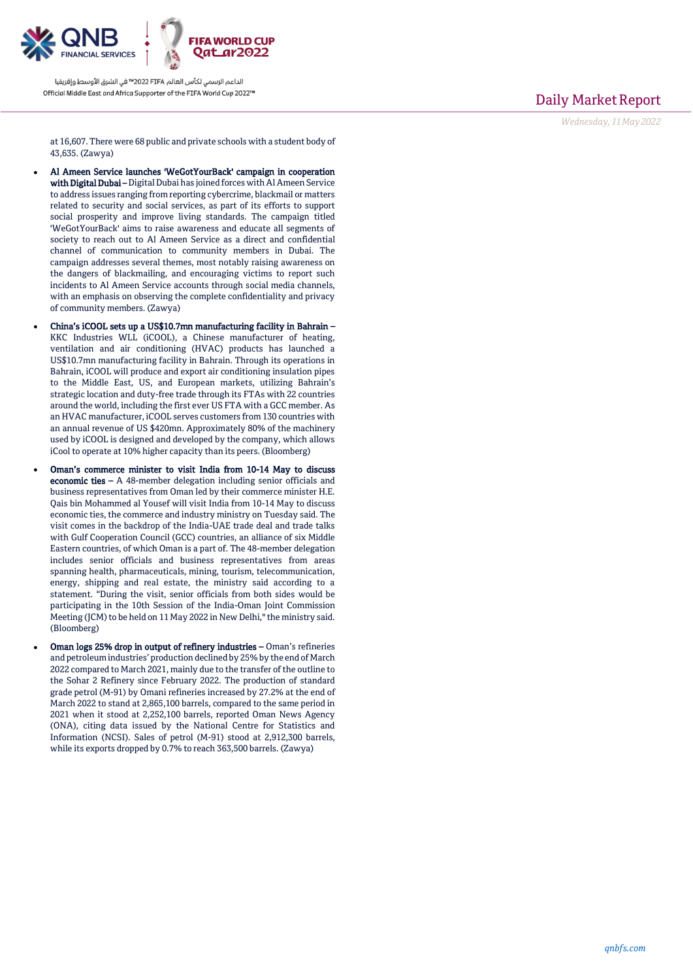

Daily Market Report

*Wednesday, 11May2022*

at 16,607. There were 68 public and private schools with a student body of 43,635. (Zawya)

- Al Ameen Service launches 'WeGotYourBack' campaign in cooperation with Digital Dubai – Digital Dubai has joined forces with Al Ameen Service to address issues ranging from reporting cybercrime, blackmail or matters related to security and social services, as part of its efforts to support social prosperity and improve living standards. The campaign titled 'WeGotYourBack' aims to raise awareness and educate all segments of society to reach out to Al Ameen Service as a direct and confidential channel of communication to community members in Dubai. The campaign addresses several themes, most notably raising awareness on the dangers of blackmailing, and encouraging victims to report such incidents to Al Ameen Service accounts through social media channels. with an emphasis on observing the complete confidentiality and privacy of community members. (Zawya)
- China's iCOOL sets up a US\$10.7mn manufacturing facility in Bahrain KKC Industries WLL (iCOOL), a Chinese manufacturer of heating, ventilation and air conditioning (HVAC) products has launched a US\$10.7mn manufacturing facility in Bahrain. Through its operations in Bahrain, iCOOL will produce and export air conditioning insulation pipes to the Middle East, US, and European markets, utilizing Bahrain's strategic location and duty-free trade through its FTAs with 22 countries around the world, including the first ever US FTA with a GCC member. As an HVAC manufacturer, iCOOL serves customers from 130 countries with an annual revenue of US \$420mn. Approximately 80% of the machinery used by iCOOL is designed and developed by the company, which allows iCool to operate at 10% higher capacity than its peers. (Bloomberg)
- Oman's commerce minister to visit India from 10-14 May to discuss economic ties – A 48-member delegation including senior officials and business representatives from Oman led by their commerce minister H.E. Qais bin Mohammed al Yousef will visit India from 10-14 May to discuss economic ties, the commerce and industry ministry on Tuesday said. The visit comes in the backdrop of the India-UAE trade deal and trade talks with Gulf Cooperation Council (GCC) countries, an alliance of six Middle Eastern countries, of which Oman is a part of. The 48-member delegation includes senior officials and business representatives from areas spanning health, pharmaceuticals, mining, tourism, telecommunication, energy, shipping and real estate, the ministry said according to a statement. "During the visit, senior officials from both sides would be participating in the 10th Session of the India-Oman Joint Commission Meeting (JCM) to be held on 11 May 2022 in New Delhi," the ministry said. (Bloomberg)
	- Oman logs 25% drop in output of refinery industries Oman's refineries and petroleum industries' production declined by 25% by the end of March 2022 compared to March 2021, mainly due to the transfer of the outline to the Sohar 2 Refinery since February 2022. The production of standard grade petrol (M-91) by Omani refineries increased by 27.2% at the end of March 2022 to stand at 2,865,100 barrels, compared to the same period in 2021 when it stood at 2,252,100 barrels, reported Oman News Agency (ONA), citing data issued by the National Centre for Statistics and Information (NCSI). Sales of petrol (M-91) stood at 2,912,300 barrels, while its exports dropped by 0.7% to reach 363,500 barrels. (Zawya)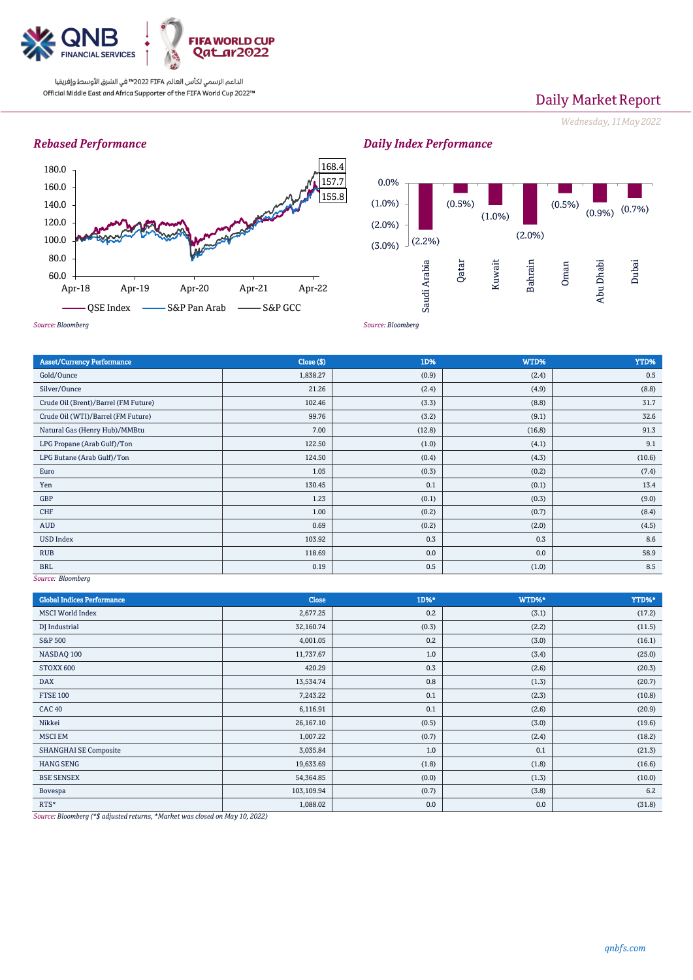

# Daily Market Report

*Wednesday, 11May2022*

### *Rebased Performance*



*Daily Index Performance*



### Asset/Currency Performance Close (\$) 1D% WTD% YTD% Gold/Ounce 1,838.27 (0.9) (2.4) 0.5 Silver/Ounce (8.8) (8.8) (8.8) (8.8) (8.8) (8.8) (8.8) (8.8) (8.8) (8.8) (8.8) (8.8) (8.8) (8.8) (8.8) (8.8) ( Crude Oil (Brent)/Barrel (FM Future) 102.46 (3.3) (8.8) (3.8) (8.8) 31.7 Crude Oil (WTI)/Barrel (FM Future) 99.76 (3.2) (9.1) 32.6 Natural Gas (Henry Hub)/MMBtu 81.3 LPG Propane (Arab Gulf)/Ton 122.50 (1.0) (1.0) (4.1) (4.1) 9.1 LPG Butane (Arab Gulf)/Ton (10.6) (224.50 (0.4) (0.4) (3.3) (4.3) (4.3) (10.6) Euro (0.2) (7.4) (8.2) (7.4) (8.2) (8.2) (7.4) (8.5) (8.3) (7.4) (8.2) (7.4) (7.4) (7.4) (7.4) (7.4) (7.4) (7.4) (7.4) (7.4) (7.4) (7.4) (7.4) (7.4) (7.4) (7.4) (7.4) (7.4) (7.4) (7.4) (7.4) (7.4) (7.4) (7.4) (7.4) (7.4) Yen  $13.4$  (0.1)  $13.4$ GBP  $1.23$   $(0.1)$   $(0.3)$   $(0.3)$   $(9.0)$ CHF  $(8.4)$  $\text{AUD} \quad \hspace{1.6cm} (2.0) \quad \hspace{1.6cm} (3.5)$ USD Index  $0.3$  |  $0.3$  |  $0.3$  |  $0.3$  |  $0.3$  |  $0.3$  |  $0.3$  |  $0.3$  |  $0.3$  |  $0.3$  |  $0.3$  |  $0.3$  |  $0.3$  |  $0.3$  |  $0.3$  |  $0.3$  |  $0.3$  |  $0.3$  |  $0.3$  |  $0.3$  |  $0.3$  |  $0.3$  |  $0.3$  |  $0.3$  |  $0.3$  |  $0.3$  |  $0.$ RUB 118.69 0.0 0.0 58.9 58.9 58.9  $\,$ BRL  $0.19$   $0.19$   $0.5$   $0.5$   $(1.0)$   $(1.0)$   $8.5$

*Source: Bloomberg*

| <b>Global Indices Performance</b>                                                   | Close         | 1D%*  | WTD%* | YTD%*  |
|-------------------------------------------------------------------------------------|---------------|-------|-------|--------|
| <b>MSCI World Index</b>                                                             | 2,677.25      | 0.2   | (3.1) | (17.2) |
| DJ Industrial                                                                       | 32,160.74     | (0.3) | (2.2) | (11.5) |
| S&P 500                                                                             | 4,001.05      | 0.2   | (3.0) | (16.1) |
| NASDAQ 100                                                                          | 11,737.67     | 1.0   | (3.4) | (25.0) |
| STOXX 600                                                                           | 420.29        | 0.3   | (2.6) | (20.3) |
| <b>DAX</b>                                                                          | 13,534.74     | 0.8   | (1.3) | (20.7) |
| <b>FTSE 100</b>                                                                     | 7,243.22      | 0.1   | (2.3) | (10.8) |
| <b>CAC 40</b>                                                                       | 6,116.91      | 0.1   | (2.6) | (20.9) |
| Nikkei                                                                              | 26,167.10     | (0.5) | (3.0) | (19.6) |
| <b>MSCI EM</b>                                                                      | 1,007.22      | (0.7) | (2.4) | (18.2) |
| <b>SHANGHAI SE Composite</b>                                                        | 3,035.84      | 1.0   | 0.1   | (21.3) |
| <b>HANG SENG</b>                                                                    | 19,633.69     | (1.8) | (1.8) | (16.6) |
| <b>BSE SENSEX</b>                                                                   | 54,364.85     | (0.0) | (1.3) | (10.0) |
| Bovespa                                                                             | 103,109.94    | (0.7) | (3.8) | 6.2    |
| $RTS*$<br>the common contract of the common common<br>and the state of the state of | 1,088.02<br>. | 0.0   | 0.0   | (31.8) |

*Source: Bloomberg (\*\$ adjusted returns, \*Market was closed on May 10, 2022)*